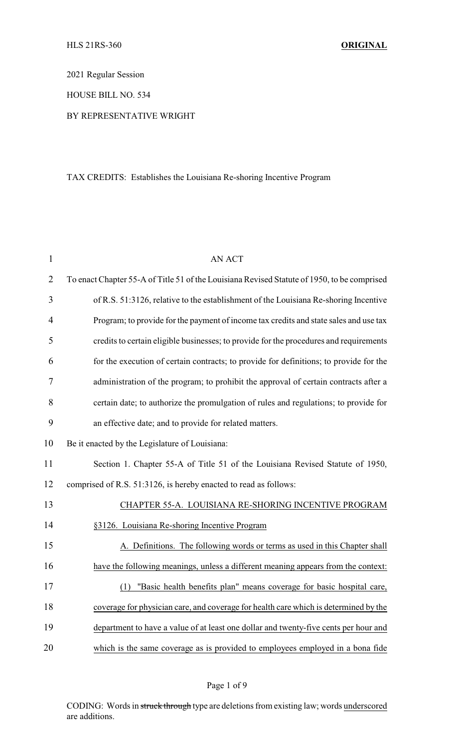2021 Regular Session

HOUSE BILL NO. 534

## BY REPRESENTATIVE WRIGHT

# TAX CREDITS: Establishes the Louisiana Re-shoring Incentive Program

| $\mathbf{1}$   | <b>AN ACT</b>                                                                               |
|----------------|---------------------------------------------------------------------------------------------|
| $\overline{2}$ | To enact Chapter 55-A of Title 51 of the Louisiana Revised Statute of 1950, to be comprised |
| 3              | of R.S. 51:3126, relative to the establishment of the Louisiana Re-shoring Incentive        |
| $\overline{4}$ | Program; to provide for the payment of income tax credits and state sales and use tax       |
| 5              | credits to certain eligible businesses; to provide for the procedures and requirements      |
| 6              | for the execution of certain contracts; to provide for definitions; to provide for the      |
| 7              | administration of the program; to prohibit the approval of certain contracts after a        |
| 8              | certain date; to authorize the promulgation of rules and regulations; to provide for        |
| 9              | an effective date; and to provide for related matters.                                      |
| 10             | Be it enacted by the Legislature of Louisiana:                                              |
| 11             | Section 1. Chapter 55-A of Title 51 of the Louisiana Revised Statute of 1950,               |
| 12             | comprised of R.S. 51:3126, is hereby enacted to read as follows:                            |
| 13             | CHAPTER 55-A. LOUISIANA RE-SHORING INCENTIVE PROGRAM                                        |
| 14             | §3126. Louisiana Re-shoring Incentive Program                                               |
| 15             | A. Definitions. The following words or terms as used in this Chapter shall                  |
| 16             | have the following meanings, unless a different meaning appears from the context:           |
| 17             | (1) "Basic health benefits plan" means coverage for basic hospital care,                    |
| 18             | coverage for physician care, and coverage for health care which is determined by the        |
| 19             | department to have a value of at least one dollar and twenty-five cents per hour and        |
| 20             | which is the same coverage as is provided to employees employed in a bona fide              |

Page 1 of 9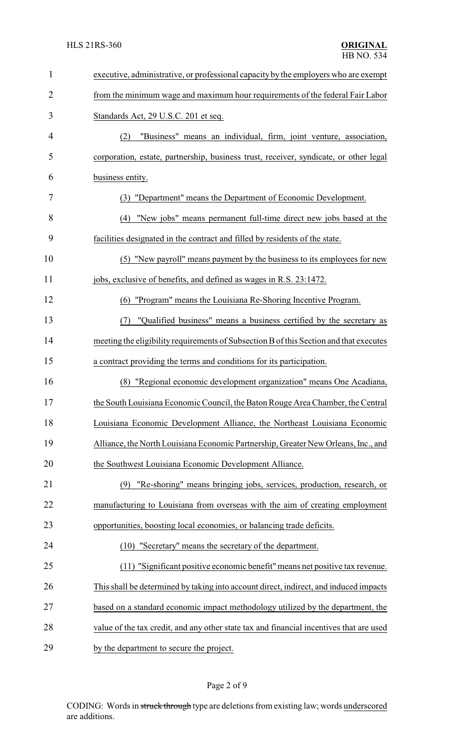| $\mathbf{1}$   | executive, administrative, or professional capacity by the employers who are exempt     |
|----------------|-----------------------------------------------------------------------------------------|
| $\overline{2}$ | from the minimum wage and maximum hour requirements of the federal Fair Labor           |
| 3              | Standards Act, 29 U.S.C. 201 et seq.                                                    |
| 4              | "Business" means an individual, firm, joint venture, association,<br>(2)                |
| 5              | corporation, estate, partnership, business trust, receiver, syndicate, or other legal   |
| 6              | business entity.                                                                        |
| 7              | (3) "Department" means the Department of Economic Development.                          |
| 8              | (4) "New jobs" means permanent full-time direct new jobs based at the                   |
| 9              | facilities designated in the contract and filled by residents of the state.             |
| 10             | (5) "New payroll" means payment by the business to its employees for new                |
| 11             | jobs, exclusive of benefits, and defined as wages in R.S. 23:1472.                      |
| 12             | "Program" means the Louisiana Re-Shoring Incentive Program.<br>(6)                      |
| 13             | "Qualified business" means a business certified by the secretary as<br>(7)              |
| 14             | meeting the eligibility requirements of Subsection B of this Section and that executes  |
| 15             | a contract providing the terms and conditions for its participation.                    |
| 16             | "Regional economic development organization" means One Acadiana,<br>(8)                 |
| 17             | the South Louisiana Economic Council, the Baton Rouge Area Chamber, the Central         |
| 18             | Louisiana Economic Development Alliance, the Northeast Louisiana Economic               |
| 19             | Alliance, the North Louisiana Economic Partnership, Greater New Orleans, Inc., and      |
| 20             | the Southwest Louisiana Economic Development Alliance.                                  |
| 21             | "Re-shoring" means bringing jobs, services, production, research, or<br>(9)             |
| 22             | manufacturing to Louisiana from overseas with the aim of creating employment            |
| 23             | opportunities, boosting local economies, or balancing trade deficits.                   |
| 24             | (10) "Secretary" means the secretary of the department.                                 |
| 25             | (11) "Significant positive economic benefit" means net positive tax revenue.            |
| 26             | This shall be determined by taking into account direct, indirect, and induced impacts   |
| 27             | based on a standard economic impact methodology utilized by the department, the         |
| 28             | value of the tax credit, and any other state tax and financial incentives that are used |
| 29             | by the department to secure the project.                                                |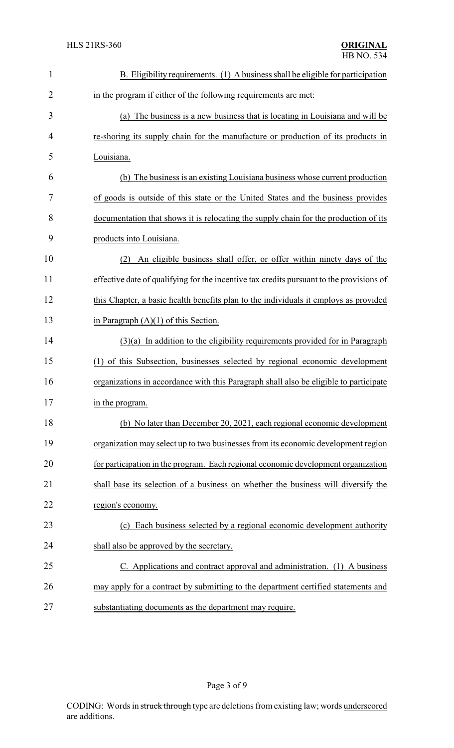| $\mathbf{1}$ | B. Eligibility requirements. (1) A business shall be eligible for participation          |
|--------------|------------------------------------------------------------------------------------------|
| 2            | in the program if either of the following requirements are met:                          |
| 3            | (a) The business is a new business that is locating in Louisiana and will be             |
| 4            | re-shoring its supply chain for the manufacture or production of its products in         |
| 5            | Louisiana.                                                                               |
| 6            | (b) The business is an existing Louisiana business whose current production              |
| 7            | of goods is outside of this state or the United States and the business provides         |
| 8            | documentation that shows it is relocating the supply chain for the production of its     |
| 9            | products into Louisiana.                                                                 |
| 10           | An eligible business shall offer, or offer within ninety days of the<br>(2)              |
| 11           | effective date of qualifying for the incentive tax credits pursuant to the provisions of |
| 12           | this Chapter, a basic health benefits plan to the individuals it employs as provided     |
| 13           | in Paragraph $(A)(1)$ of this Section.                                                   |
| 14           | $(3)(a)$ In addition to the eligibility requirements provided for in Paragraph           |
| 15           | (1) of this Subsection, businesses selected by regional economic development             |
| 16           | organizations in accordance with this Paragraph shall also be eligible to participate    |
| 17           | in the program.                                                                          |
| 18           | (b) No later than December 20, 2021, each regional economic development                  |
| 19           | organization may select up to two businesses from its economic development region        |
| 20           | for participation in the program. Each regional economic development organization        |
| 21           | shall base its selection of a business on whether the business will diversify the        |
| 22           | region's economy.                                                                        |
| 23           | (c) Each business selected by a regional economic development authority                  |
| 24           | shall also be approved by the secretary.                                                 |
| 25           | C. Applications and contract approval and administration. (1) A business                 |
| 26           | may apply for a contract by submitting to the department certified statements and        |
| 27           | substantiating documents as the department may require.                                  |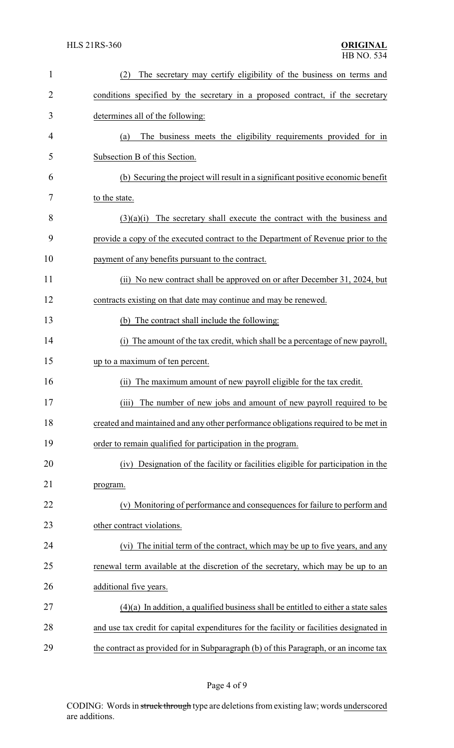| $\mathbf{1}$ | The secretary may certify eligibility of the business on terms and<br>(2)                |
|--------------|------------------------------------------------------------------------------------------|
| 2            | conditions specified by the secretary in a proposed contract, if the secretary           |
| 3            | determines all of the following:                                                         |
| 4            | The business meets the eligibility requirements provided for in<br>(a)                   |
| 5            | Subsection B of this Section.                                                            |
| 6            | (b) Securing the project will result in a significant positive economic benefit          |
| 7            | to the state.                                                                            |
| 8            | $(3)(a)(i)$ The secretary shall execute the contract with the business and               |
| 9            | provide a copy of the executed contract to the Department of Revenue prior to the        |
| 10           | payment of any benefits pursuant to the contract.                                        |
| 11           | (ii) No new contract shall be approved on or after December 31, 2024, but                |
| 12           | contracts existing on that date may continue and may be renewed.                         |
| 13           | (b) The contract shall include the following:                                            |
| 14           | (i) The amount of the tax credit, which shall be a percentage of new payroll,            |
| 15           | up to a maximum of ten percent.                                                          |
| 16           | The maximum amount of new payroll eligible for the tax credit.<br>(ii)                   |
| 17           | (iii) The number of new jobs and amount of new payroll required to be                    |
| 18           | created and maintained and any other performance obligations required to be met in       |
| 19           | order to remain qualified for participation in the program.                              |
| 20           | (iv) Designation of the facility or facilities eligible for participation in the         |
| 21           | program.                                                                                 |
| 22           | (v) Monitoring of performance and consequences for failure to perform and                |
| 23           | other contract violations.                                                               |
| 24           | The initial term of the contract, which may be up to five years, and any<br>(vi)         |
| 25           | renewal term available at the discretion of the secretary, which may be up to an         |
| 26           | additional five years.                                                                   |
| 27           | $(4)(a)$ In addition, a qualified business shall be entitled to either a state sales     |
| 28           | and use tax credit for capital expenditures for the facility or facilities designated in |
| 29           | the contract as provided for in Subparagraph (b) of this Paragraph, or an income tax     |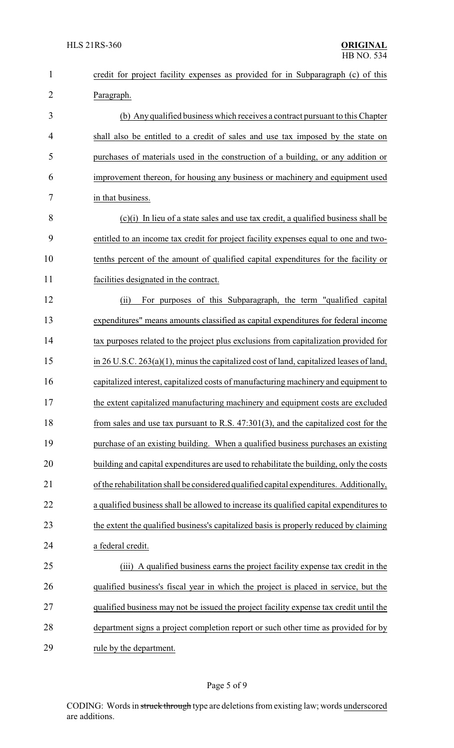| $\mathbf{1}$   | credit for project facility expenses as provided for in Subparagraph (c) of this             |
|----------------|----------------------------------------------------------------------------------------------|
| $\overline{2}$ | Paragraph.                                                                                   |
| 3              | (b) Any qualified business which receives a contract pursuant to this Chapter                |
| $\overline{4}$ | shall also be entitled to a credit of sales and use tax imposed by the state on              |
| 5              | purchases of materials used in the construction of a building, or any addition or            |
| 6              | improvement thereon, for housing any business or machinery and equipment used                |
| 7              | in that business.                                                                            |
| 8              | (c)(i) In lieu of a state sales and use tax credit, a qualified business shall be            |
| 9              | entitled to an income tax credit for project facility expenses equal to one and two-         |
| 10             | tenths percent of the amount of qualified capital expenditures for the facility or           |
| 11             | facilities designated in the contract.                                                       |
| 12             | For purposes of this Subparagraph, the term "qualified capital"<br>(ii)                      |
| 13             | expenditures" means amounts classified as capital expenditures for federal income            |
| 14             | tax purposes related to the project plus exclusions from capitalization provided for         |
| 15             | in $26$ U.S.C. $263(a)(1)$ , minus the capitalized cost of land, capitalized leases of land, |
| 16             | capitalized interest, capitalized costs of manufacturing machinery and equipment to          |
| 17             | the extent capitalized manufacturing machinery and equipment costs are excluded              |
| 18             | from sales and use tax pursuant to R.S. $47:301(3)$ , and the capitalized cost for the       |
| 19             | purchase of an existing building. When a qualified business purchases an existing            |
| 20             | building and capital expenditures are used to rehabilitate the building, only the costs      |
| 21             | of the rehabilitation shall be considered qualified capital expenditures. Additionally,      |
| 22             | a qualified business shall be allowed to increase its qualified capital expenditures to      |
| 23             | the extent the qualified business's capitalized basis is properly reduced by claiming        |
| 24             | a federal credit.                                                                            |
| 25             | (iii) A qualified business earns the project facility expense tax credit in the              |
| 26             | qualified business's fiscal year in which the project is placed in service, but the          |
| 27             | qualified business may not be issued the project facility expense tax credit until the       |
| 28             | department signs a project completion report or such other time as provided for by           |
| 29             | rule by the department.                                                                      |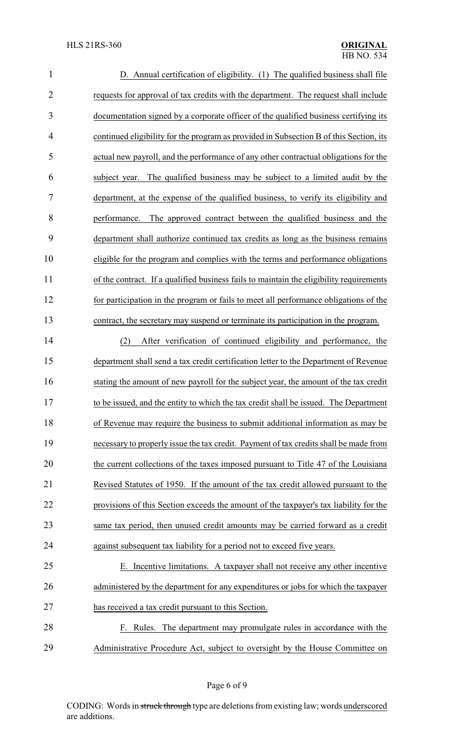| $\mathbf{1}$   | D. Annual certification of eligibility. (1) The qualified business shall file           |
|----------------|-----------------------------------------------------------------------------------------|
| $\overline{2}$ | requests for approval of tax credits with the department. The request shall include     |
| 3              | documentation signed by a corporate officer of the qualified business certifying its    |
| $\overline{4}$ | continued eligibility for the program as provided in Subsection B of this Section, its  |
| 5              | actual new payroll, and the performance of any other contractual obligations for the    |
| 6              | The qualified business may be subject to a limited audit by the<br>subject year.        |
| $\tau$         | department, at the expense of the qualified business, to verify its eligibility and     |
| 8              | The approved contract between the qualified business and the<br>performance.            |
| 9              | department shall authorize continued tax credits as long as the business remains        |
| 10             | eligible for the program and complies with the terms and performance obligations        |
| 11             | of the contract. If a qualified business fails to maintain the eligibility requirements |
| 12             | for participation in the program or fails to meet all performance obligations of the    |
| 13             | contract, the secretary may suspend or terminate its participation in the program.      |
| 14             | After verification of continued eligibility and performance, the<br>(2)                 |
| 15             | department shall send a tax credit certification letter to the Department of Revenue    |
| 16             | stating the amount of new payroll for the subject year, the amount of the tax credit    |
| 17             | to be issued, and the entity to which the tax credit shall be issued. The Department    |
| 18             | of Revenue may require the business to submit additional information as may be          |
| 19             | necessary to properly issue the tax credit. Payment of tax credits shall be made from   |
| 20             | the current collections of the taxes imposed pursuant to Title 47 of the Louisiana      |
| 21             | Revised Statutes of 1950. If the amount of the tax credit allowed pursuant to the       |
| 22             | provisions of this Section exceeds the amount of the taxpayer's tax liability for the   |
| 23             | same tax period, then unused credit amounts may be carried forward as a credit          |
| 24             | against subsequent tax liability for a period not to exceed five years.                 |
| 25             | E. Incentive limitations. A taxpayer shall not receive any other incentive              |
| 26             | administered by the department for any expenditures or jobs for which the taxpayer      |
| 27             | has received a tax credit pursuant to this Section.                                     |
| 28             | F. Rules. The department may promulgate rules in accordance with the                    |
| 29             | Administrative Procedure Act, subject to oversight by the House Committee on            |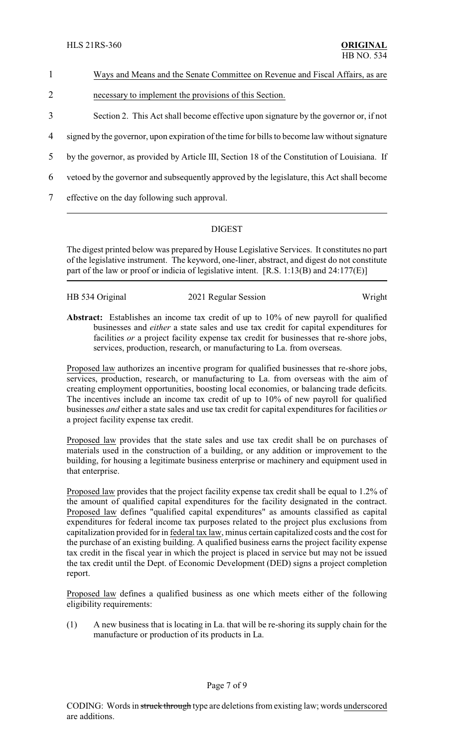## 1 Ways and Means and the Senate Committee on Revenue and Fiscal Affairs, as are

- 2 necessary to implement the provisions of this Section.
- 3 Section 2. This Act shall become effective upon signature by the governor or, if not
- 4 signed by the governor, upon expiration of the time for bills to become law without signature
- 5 by the governor, as provided by Article III, Section 18 of the Constitution of Louisiana. If
- 6 vetoed by the governor and subsequently approved by the legislature, this Act shall become
- 7 effective on the day following such approval.

## DIGEST

The digest printed below was prepared by House Legislative Services. It constitutes no part of the legislative instrument. The keyword, one-liner, abstract, and digest do not constitute part of the law or proof or indicia of legislative intent. [R.S. 1:13(B) and 24:177(E)]

|  | HB 534 Original |  |
|--|-----------------|--|
|  |                 |  |

#### 2021 Regular Session Wright

**Abstract:** Establishes an income tax credit of up to 10% of new payroll for qualified businesses and *either* a state sales and use tax credit for capital expenditures for facilities *or* a project facility expense tax credit for businesses that re-shore jobs, services, production, research, or manufacturing to La. from overseas.

Proposed law authorizes an incentive program for qualified businesses that re-shore jobs, services, production, research, or manufacturing to La. from overseas with the aim of creating employment opportunities, boosting local economies, or balancing trade deficits. The incentives include an income tax credit of up to 10% of new payroll for qualified businesses *and* either a state sales and use tax credit for capital expenditures for facilities *or* a project facility expense tax credit.

Proposed law provides that the state sales and use tax credit shall be on purchases of materials used in the construction of a building, or any addition or improvement to the building, for housing a legitimate business enterprise or machinery and equipment used in that enterprise.

Proposed law provides that the project facility expense tax credit shall be equal to 1.2% of the amount of qualified capital expenditures for the facility designated in the contract. Proposed law defines "qualified capital expenditures" as amounts classified as capital expenditures for federal income tax purposes related to the project plus exclusions from capitalization provided for in federal tax law, minus certain capitalized costs and the cost for the purchase of an existing building. A qualified business earns the project facility expense tax credit in the fiscal year in which the project is placed in service but may not be issued the tax credit until the Dept. of Economic Development (DED) signs a project completion report.

Proposed law defines a qualified business as one which meets either of the following eligibility requirements:

(1) A new business that is locating in La. that will be re-shoring its supply chain for the manufacture or production of its products in La.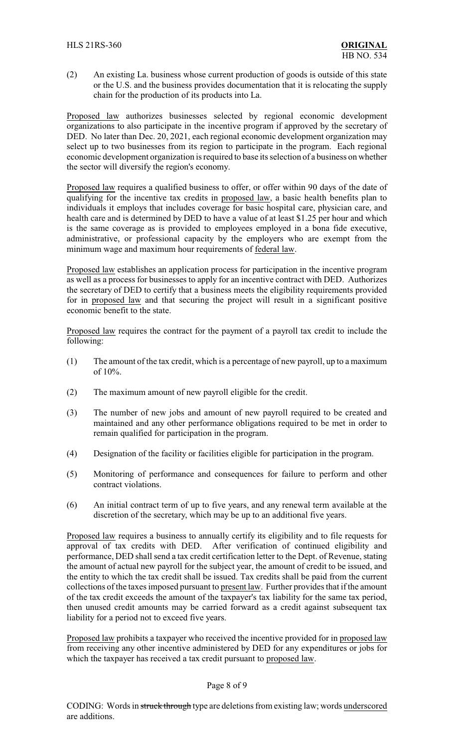(2) An existing La. business whose current production of goods is outside of this state or the U.S. and the business provides documentation that it is relocating the supply chain for the production of its products into La.

Proposed law authorizes businesses selected by regional economic development organizations to also participate in the incentive program if approved by the secretary of DED. No later than Dec. 20, 2021, each regional economic development organization may select up to two businesses from its region to participate in the program. Each regional economic development organization is required to base its selection of a business on whether the sector will diversify the region's economy.

Proposed law requires a qualified business to offer, or offer within 90 days of the date of qualifying for the incentive tax credits in proposed law, a basic health benefits plan to individuals it employs that includes coverage for basic hospital care, physician care, and health care and is determined by DED to have a value of at least \$1.25 per hour and which is the same coverage as is provided to employees employed in a bona fide executive, administrative, or professional capacity by the employers who are exempt from the minimum wage and maximum hour requirements of federal law.

Proposed law establishes an application process for participation in the incentive program as well as a process for businesses to apply for an incentive contract with DED. Authorizes the secretary of DED to certify that a business meets the eligibility requirements provided for in proposed law and that securing the project will result in a significant positive economic benefit to the state.

Proposed law requires the contract for the payment of a payroll tax credit to include the following:

- (1) The amount of the tax credit, which is a percentage of new payroll, up to a maximum of 10%.
- (2) The maximum amount of new payroll eligible for the credit.
- (3) The number of new jobs and amount of new payroll required to be created and maintained and any other performance obligations required to be met in order to remain qualified for participation in the program.
- (4) Designation of the facility or facilities eligible for participation in the program.
- (5) Monitoring of performance and consequences for failure to perform and other contract violations.
- (6) An initial contract term of up to five years, and any renewal term available at the discretion of the secretary, which may be up to an additional five years.

Proposed law requires a business to annually certify its eligibility and to file requests for approval of tax credits with DED. After verification of continued eligibility and performance, DED shall send a tax credit certification letter to the Dept. of Revenue, stating the amount of actual new payroll for the subject year, the amount of credit to be issued, and the entity to which the tax credit shall be issued. Tax credits shall be paid from the current collections of the taxes imposed pursuant to present law. Further provides that if the amount of the tax credit exceeds the amount of the taxpayer's tax liability for the same tax period, then unused credit amounts may be carried forward as a credit against subsequent tax liability for a period not to exceed five years.

Proposed law prohibits a taxpayer who received the incentive provided for in proposed law from receiving any other incentive administered by DED for any expenditures or jobs for which the taxpayer has received a tax credit pursuant to proposed law.

#### Page 8 of 9